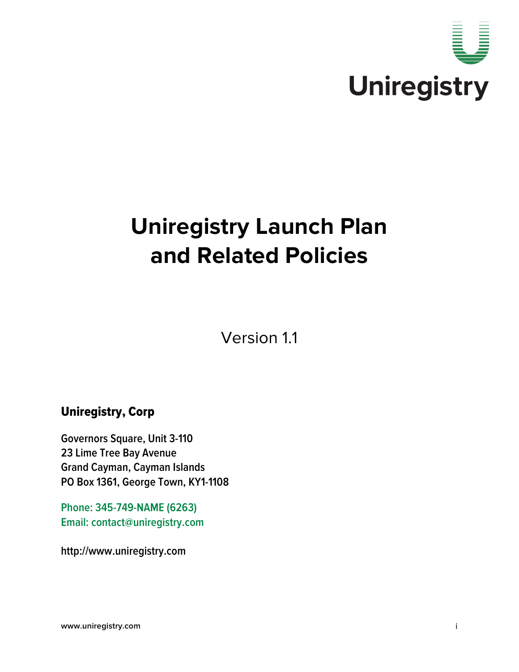

# **Uniregistry Launch Plan and Related Policies**

Version 1.1

# Uniregistry, Corp

**Governors Square, Unit 3-110 23 Lime Tree Bay Avenue Grand Cayman, Cayman Islands PO Box 1361, George Town, KY1-1108**

**Phone: 345-749-NAME (6263) Email: contact@uniregistry.com**

**http://www.uniregistry.com**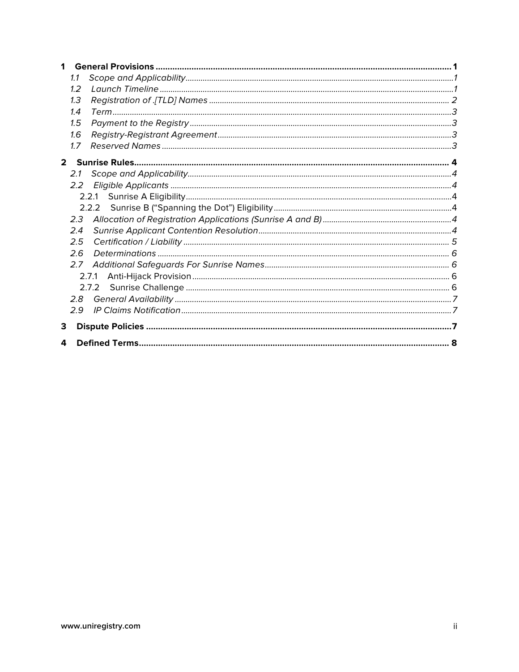| 1           |               |       |  |  |  |
|-------------|---------------|-------|--|--|--|
|             | 1.1           |       |  |  |  |
|             | 1.2           |       |  |  |  |
|             | 1.3           |       |  |  |  |
|             | 1.4           |       |  |  |  |
|             | 1.5           |       |  |  |  |
|             | 1.6           |       |  |  |  |
|             | 1.7           |       |  |  |  |
| $2^{\circ}$ |               |       |  |  |  |
|             | 2.1           |       |  |  |  |
|             | $2.2^{\circ}$ |       |  |  |  |
|             |               |       |  |  |  |
|             |               |       |  |  |  |
|             | 2.3           |       |  |  |  |
|             | 2.4           |       |  |  |  |
|             | 2.5           |       |  |  |  |
|             | 2.6           |       |  |  |  |
|             | 2.7           |       |  |  |  |
|             |               | 2.7.1 |  |  |  |
|             |               | 2.7.2 |  |  |  |
|             | 2.8           |       |  |  |  |
|             | 2.9           |       |  |  |  |
| 3           |               |       |  |  |  |
|             |               |       |  |  |  |
| 4           |               |       |  |  |  |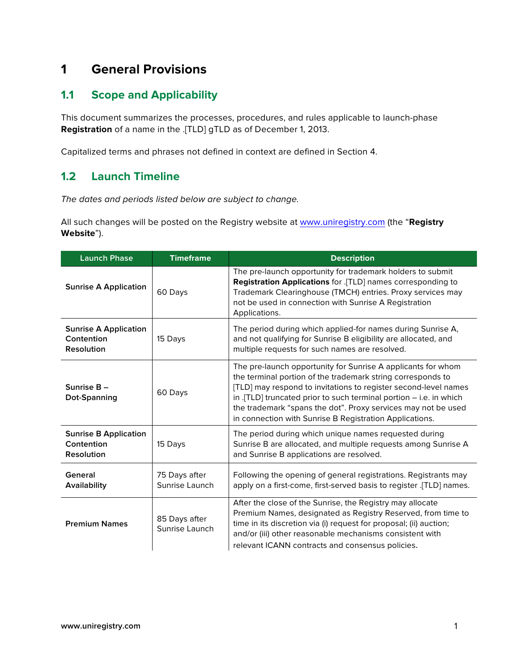# **1 General Provisions**

# **1.1 Scope and Applicability**

This document summarizes the processes, procedures, and rules applicable to launch-phase **Registration** of a name in the .[TLD] gTLD as of December 1, 2013.

Capitalized terms and phrases not defined in context are defined in Section 4.

## **1.2 Launch Timeline**

*The dates and periods listed below are subject to change.* 

All such changes will be posted on the Registry website at www.uniregistry.com (the "**Registry Website**").

| <b>Launch Phase</b>                                             | <b>Timeframe</b>                | <b>Description</b>                                                                                                                                                                                                                                                                                                                                                                                 |
|-----------------------------------------------------------------|---------------------------------|----------------------------------------------------------------------------------------------------------------------------------------------------------------------------------------------------------------------------------------------------------------------------------------------------------------------------------------------------------------------------------------------------|
| <b>Sunrise A Application</b>                                    | 60 Days                         | The pre-launch opportunity for trademark holders to submit<br>Registration Applications for .[TLD] names corresponding to<br>Trademark Clearinghouse (TMCH) entries. Proxy services may<br>not be used in connection with Sunrise A Registration<br>Applications.                                                                                                                                  |
| <b>Sunrise A Application</b><br>Contention<br><b>Resolution</b> | 15 Days                         | The period during which applied-for names during Sunrise A,<br>and not qualifying for Sunrise B eligibility are allocated, and<br>multiple requests for such names are resolved.                                                                                                                                                                                                                   |
| Sunrise B-<br>Dot-Spanning                                      | 60 Days                         | The pre-launch opportunity for Sunrise A applicants for whom<br>the terminal portion of the trademark string corresponds to<br>[TLD] may respond to invitations to register second-level names<br>in .[TLD] truncated prior to such terminal portion $-$ i.e. in which<br>the trademark "spans the dot". Proxy services may not be used<br>in connection with Sunrise B Registration Applications. |
| <b>Sunrise B Application</b><br>Contention<br><b>Resolution</b> | 15 Days                         | The period during which unique names requested during<br>Sunrise B are allocated, and multiple requests among Sunrise A<br>and Sunrise B applications are resolved.                                                                                                                                                                                                                                |
| General<br>Availability                                         | 75 Days after<br>Sunrise Launch | Following the opening of general registrations. Registrants may<br>apply on a first-come, first-served basis to register .[TLD] names.                                                                                                                                                                                                                                                             |
| <b>Premium Names</b>                                            | 85 Days after<br>Sunrise Launch | After the close of the Sunrise, the Registry may allocate<br>Premium Names, designated as Registry Reserved, from time to<br>time in its discretion via (i) request for proposal; (ii) auction;<br>and/or (iii) other reasonable mechanisms consistent with<br>relevant ICANN contracts and consensus policies.                                                                                    |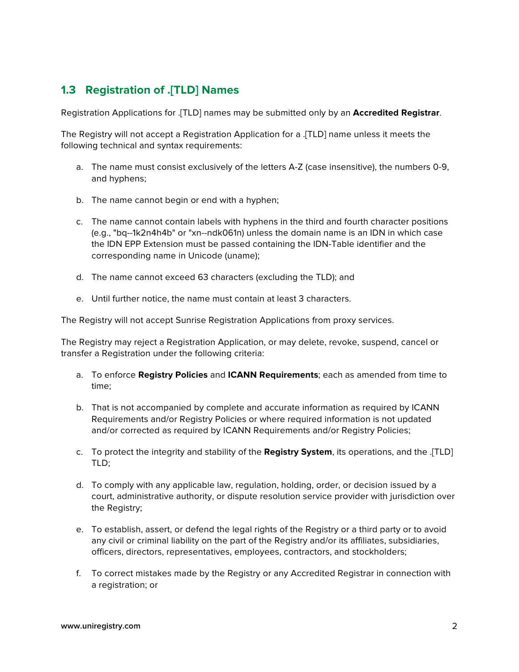# **1.3 Registration of .[TLD] Names**

Registration Applications for .[TLD] names may be submitted only by an **Accredited Registrar**.

The Registry will not accept a Registration Application for a .[TLD] name unless it meets the following technical and syntax requirements:

- a. The name must consist exclusively of the letters A-Z (case insensitive), the numbers 0-9, and hyphens;
- b. The name cannot begin or end with a hyphen;
- c. The name cannot contain labels with hyphens in the third and fourth character positions (e.g., "bq--1k2n4h4b" or "xn--ndk061n) unless the domain name is an IDN in which case the IDN EPP Extension must be passed containing the IDN-Table identifier and the corresponding name in Unicode (uname);
- d. The name cannot exceed 63 characters (excluding the TLD); and
- e. Until further notice, the name must contain at least 3 characters.

The Registry will not accept Sunrise Registration Applications from proxy services.

The Registry may reject a Registration Application, or may delete, revoke, suspend, cancel or transfer a Registration under the following criteria:

- a. To enforce **Registry Policies** and **ICANN Requirements**; each as amended from time to time;
- b. That is not accompanied by complete and accurate information as required by ICANN Requirements and/or Registry Policies or where required information is not updated and/or corrected as required by ICANN Requirements and/or Registry Policies;
- c. To protect the integrity and stability of the **Registry System**, its operations, and the .[TLD] TLD;
- d. To comply with any applicable law, regulation, holding, order, or decision issued by a court, administrative authority, or dispute resolution service provider with jurisdiction over the Registry;
- e. To establish, assert, or defend the legal rights of the Registry or a third party or to avoid any civil or criminal liability on the part of the Registry and/or its affiliates, subsidiaries, officers, directors, representatives, employees, contractors, and stockholders;
- f. To correct mistakes made by the Registry or any Accredited Registrar in connection with a registration; or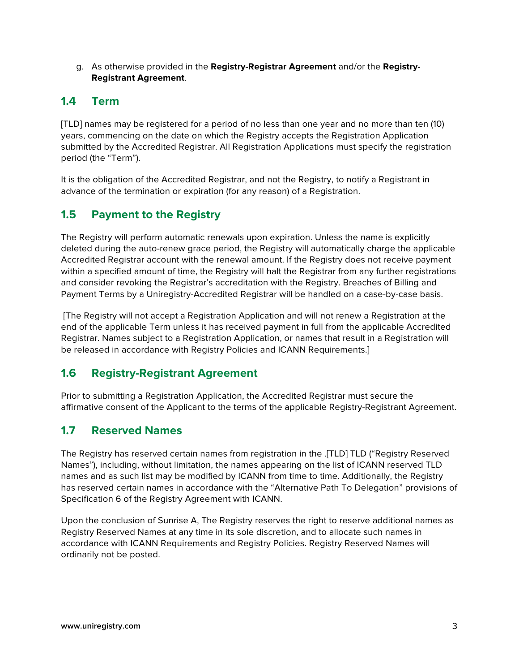g. As otherwise provided in the **Registry-Registrar Agreement** and/or the **Registry-Registrant Agreement**.

## **1.4 Term**

[TLD] names may be registered for a period of no less than one year and no more than ten (10) years, commencing on the date on which the Registry accepts the Registration Application submitted by the Accredited Registrar. All Registration Applications must specify the registration period (the "Term").

It is the obligation of the Accredited Registrar, and not the Registry, to notify a Registrant in advance of the termination or expiration (for any reason) of a Registration.

# **1.5 Payment to the Registry**

The Registry will perform automatic renewals upon expiration. Unless the name is explicitly deleted during the auto-renew grace period, the Registry will automatically charge the applicable Accredited Registrar account with the renewal amount. If the Registry does not receive payment within a specified amount of time, the Registry will halt the Registrar from any further registrations and consider revoking the Registrar's accreditation with the Registry. Breaches of Billing and Payment Terms by a Uniregistry-Accredited Registrar will be handled on a case-by-case basis.

[The Registry will not accept a Registration Application and will not renew a Registration at the end of the applicable Term unless it has received payment in full from the applicable Accredited Registrar. Names subject to a Registration Application, or names that result in a Registration will be released in accordance with Registry Policies and ICANN Requirements.]

# **1.6 Registry-Registrant Agreement**

Prior to submitting a Registration Application, the Accredited Registrar must secure the affirmative consent of the Applicant to the terms of the applicable Registry-Registrant Agreement.

# **1.7 Reserved Names**

The Registry has reserved certain names from registration in the .[TLD] TLD ("Registry Reserved Names"), including, without limitation, the names appearing on the list of ICANN reserved TLD names and as such list may be modified by ICANN from time to time. Additionally, the Registry has reserved certain names in accordance with the "Alternative Path To Delegation" provisions of Specification 6 of the Registry Agreement with ICANN.

Upon the conclusion of Sunrise A, The Registry reserves the right to reserve additional names as Registry Reserved Names at any time in its sole discretion, and to allocate such names in accordance with ICANN Requirements and Registry Policies. Registry Reserved Names will ordinarily not be posted.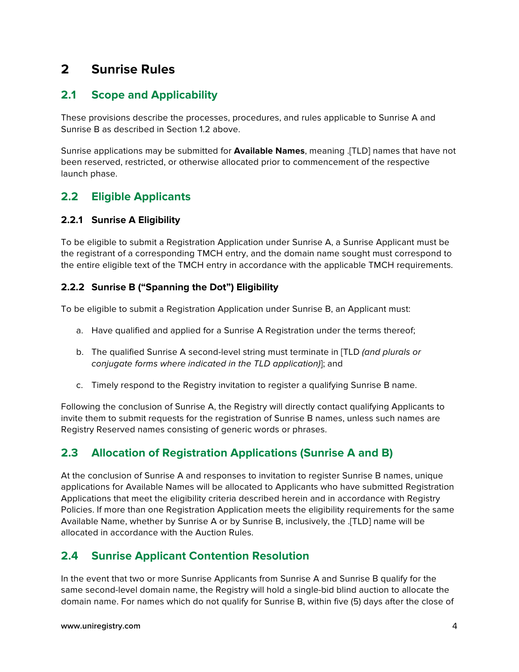# **2 Sunrise Rules**

# **2.1 Scope and Applicability**

These provisions describe the processes, procedures, and rules applicable to Sunrise A and Sunrise B as described in Section 1.2 above.

Sunrise applications may be submitted for **Available Names**, meaning .[TLD] names that have not been reserved, restricted, or otherwise allocated prior to commencement of the respective launch phase.

### **2.2 Eligible Applicants**

#### **2.2.1 Sunrise A Eligibility**

To be eligible to submit a Registration Application under Sunrise A, a Sunrise Applicant must be the registrant of a corresponding TMCH entry, and the domain name sought must correspond to the entire eligible text of the TMCH entry in accordance with the applicable TMCH requirements.

#### **2.2.2 Sunrise B ("Spanning the Dot") Eligibility**

To be eligible to submit a Registration Application under Sunrise B, an Applicant must:

- a. Have qualified and applied for a Sunrise A Registration under the terms thereof;
- b. The qualified Sunrise A second-level string must terminate in [TLD *(and plurals or conjugate forms where indicated in the TLD application)*]; and
- c. Timely respond to the Registry invitation to register a qualifying Sunrise B name.

Following the conclusion of Sunrise A, the Registry will directly contact qualifying Applicants to invite them to submit requests for the registration of Sunrise B names, unless such names are Registry Reserved names consisting of generic words or phrases.

# **2.3 Allocation of Registration Applications (Sunrise A and B)**

At the conclusion of Sunrise A and responses to invitation to register Sunrise B names, unique applications for Available Names will be allocated to Applicants who have submitted Registration Applications that meet the eligibility criteria described herein and in accordance with Registry Policies. If more than one Registration Application meets the eligibility requirements for the same Available Name, whether by Sunrise A or by Sunrise B, inclusively, the .[TLD] name will be allocated in accordance with the Auction Rules.

# **2.4 Sunrise Applicant Contention Resolution**

In the event that two or more Sunrise Applicants from Sunrise A and Sunrise B qualify for the same second-level domain name, the Registry will hold a single-bid blind auction to allocate the domain name. For names which do not qualify for Sunrise B, within five (5) days after the close of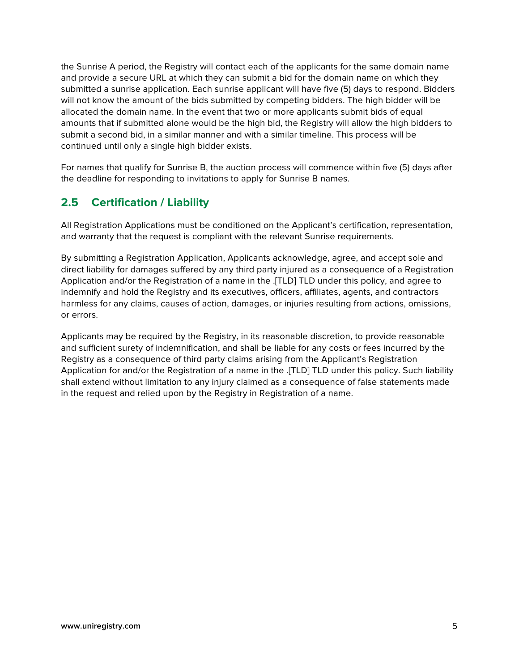the Sunrise A period, the Registry will contact each of the applicants for the same domain name and provide a secure URL at which they can submit a bid for the domain name on which they submitted a sunrise application. Each sunrise applicant will have five (5) days to respond. Bidders will not know the amount of the bids submitted by competing bidders. The high bidder will be allocated the domain name. In the event that two or more applicants submit bids of equal amounts that if submitted alone would be the high bid, the Registry will allow the high bidders to submit a second bid, in a similar manner and with a similar timeline. This process will be continued until only a single high bidder exists.

For names that qualify for Sunrise B, the auction process will commence within five (5) days after the deadline for responding to invitations to apply for Sunrise B names.

# **2.5 Certification / Liability**

All Registration Applications must be conditioned on the Applicant's certification, representation, and warranty that the request is compliant with the relevant Sunrise requirements.

By submitting a Registration Application, Applicants acknowledge, agree, and accept sole and direct liability for damages suffered by any third party injured as a consequence of a Registration Application and/or the Registration of a name in the .[TLD] TLD under this policy, and agree to indemnify and hold the Registry and its executives, officers, affiliates, agents, and contractors harmless for any claims, causes of action, damages, or injuries resulting from actions, omissions, or errors.

Applicants may be required by the Registry, in its reasonable discretion, to provide reasonable and sufficient surety of indemnification, and shall be liable for any costs or fees incurred by the Registry as a consequence of third party claims arising from the Applicant's Registration Application for and/or the Registration of a name in the .[TLD] TLD under this policy. Such liability shall extend without limitation to any injury claimed as a consequence of false statements made in the request and relied upon by the Registry in Registration of a name.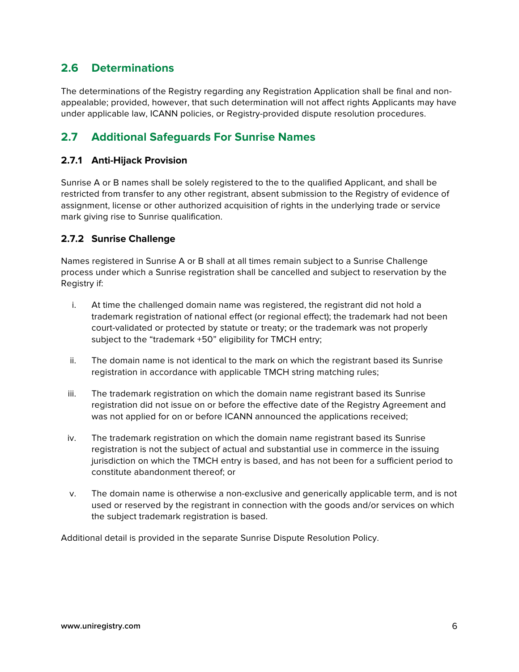# **2.6 Determinations**

The determinations of the Registry regarding any Registration Application shall be final and nonappealable; provided, however, that such determination will not affect rights Applicants may have under applicable law, ICANN policies, or Registry-provided dispute resolution procedures.

# **2.7 Additional Safeguards For Sunrise Names**

#### **2.7.1 Anti-Hijack Provision**

Sunrise A or B names shall be solely registered to the to the qualified Applicant, and shall be restricted from transfer to any other registrant, absent submission to the Registry of evidence of assignment, license or other authorized acquisition of rights in the underlying trade or service mark giving rise to Sunrise qualification.

#### **2.7.2 Sunrise Challenge**

Names registered in Sunrise A or B shall at all times remain subject to a Sunrise Challenge process under which a Sunrise registration shall be cancelled and subject to reservation by the Registry if:

- i. At time the challenged domain name was registered, the registrant did not hold a trademark registration of national effect (or regional effect); the trademark had not been court-validated or protected by statute or treaty; or the trademark was not properly subject to the "trademark +50" eligibility for TMCH entry;
- ii. The domain name is not identical to the mark on which the registrant based its Sunrise registration in accordance with applicable TMCH string matching rules;
- iii. The trademark registration on which the domain name registrant based its Sunrise registration did not issue on or before the effective date of the Registry Agreement and was not applied for on or before ICANN announced the applications received;
- iv. The trademark registration on which the domain name registrant based its Sunrise registration is not the subject of actual and substantial use in commerce in the issuing jurisdiction on which the TMCH entry is based, and has not been for a sufficient period to constitute abandonment thereof; or
- v. The domain name is otherwise a non-exclusive and generically applicable term, and is not used or reserved by the registrant in connection with the goods and/or services on which the subject trademark registration is based.

Additional detail is provided in the separate Sunrise Dispute Resolution Policy.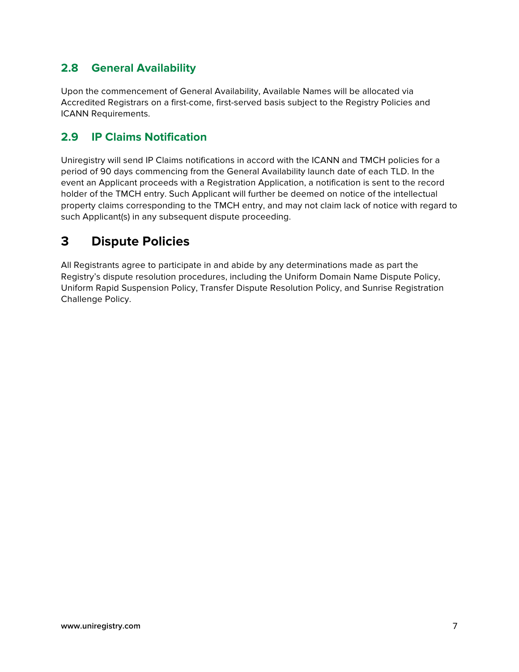# **2.8 General Availability**

Upon the commencement of General Availability, Available Names will be allocated via Accredited Registrars on a first-come, first-served basis subject to the Registry Policies and ICANN Requirements.

## **2.9 IP Claims Notification**

Uniregistry will send IP Claims notifications in accord with the ICANN and TMCH policies for a period of 90 days commencing from the General Availability launch date of each TLD. In the event an Applicant proceeds with a Registration Application, a notification is sent to the record holder of the TMCH entry. Such Applicant will further be deemed on notice of the intellectual property claims corresponding to the TMCH entry, and may not claim lack of notice with regard to such Applicant(s) in any subsequent dispute proceeding.

# **3 Dispute Policies**

All Registrants agree to participate in and abide by any determinations made as part the Registry's dispute resolution procedures, including the Uniform Domain Name Dispute Policy, Uniform Rapid Suspension Policy, Transfer Dispute Resolution Policy, and Sunrise Registration Challenge Policy.